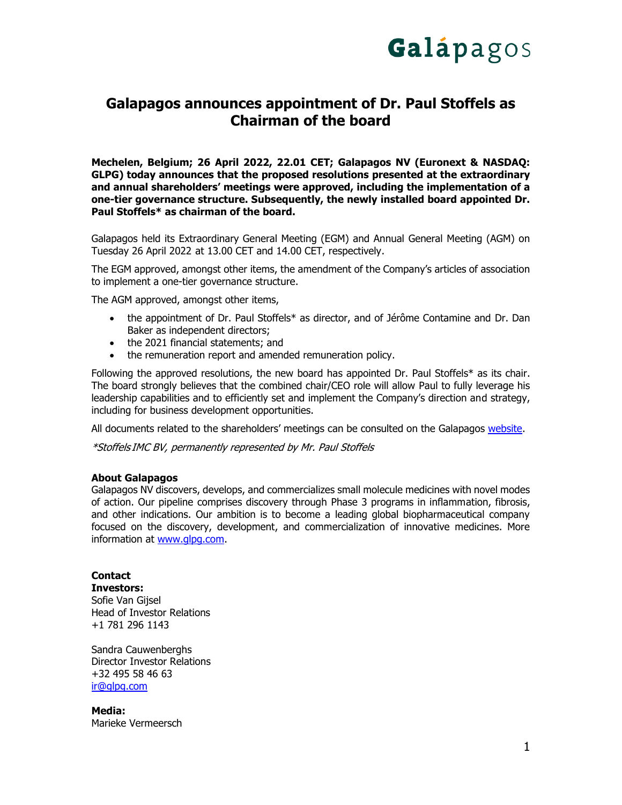

## **Galapagos announces appointment of Dr. Paul Stoffels as Chairman of the board**

**Mechelen, Belgium; 26 April 2022, 22.01 CET; Galapagos NV (Euronext & NASDAQ: GLPG) today announces that the proposed resolutions presented at the extraordinary and annual shareholders' meetings were approved, including the implementation of a one-tier governance structure. Subsequently, the newly installed board appointed Dr. Paul Stoffels\* as chairman of the board.**

Galapagos held its Extraordinary General Meeting (EGM) and Annual General Meeting (AGM) on Tuesday 26 April 2022 at 13.00 CET and 14.00 CET, respectively.

The EGM approved, amongst other items, the amendment of the Company's articles of association to implement a one-tier governance structure.

The AGM approved, amongst other items,

- the appointment of Dr. Paul Stoffels\* as director, and of Jérôme Contamine and Dr. Dan Baker as independent directors;
- the 2021 financial statements; and
- the remuneration report and amended remuneration policy.

Following the approved resolutions, the new board has appointed Dr. Paul Stoffels\* as its chair. The board strongly believes that the combined chair/CEO role will allow Paul to fully leverage his leadership capabilities and to efficiently set and implement the Company's direction and strategy, including for business development opportunities.

All documents related to the shareholders' meetings can be consulted on the Galapagos [website.](https://www.glpg.com/shareholders-meetings)

\*Stoffels IMC BV, permanently represented by Mr. Paul Stoffels

## **About Galapagos**

Galapagos NV discovers, develops, and commercializes small molecule medicines with novel modes of action. Our pipeline comprises discovery through Phase 3 programs in inflammation, fibrosis, and other indications. Our ambition is to become a leading global biopharmaceutical company focused on the discovery, development, and commercialization of innovative medicines. More information at [www.glpg.com.](http://www.glpg.com/)

**Contact Investors:** Sofie Van Gijsel Head of Investor Relations +1 781 296 1143

Sandra Cauwenberghs Director Investor Relations +32 495 58 46 63 [ir@glpg.com](mailto:ir@glpg.com)

**Media:** Marieke Vermeersch